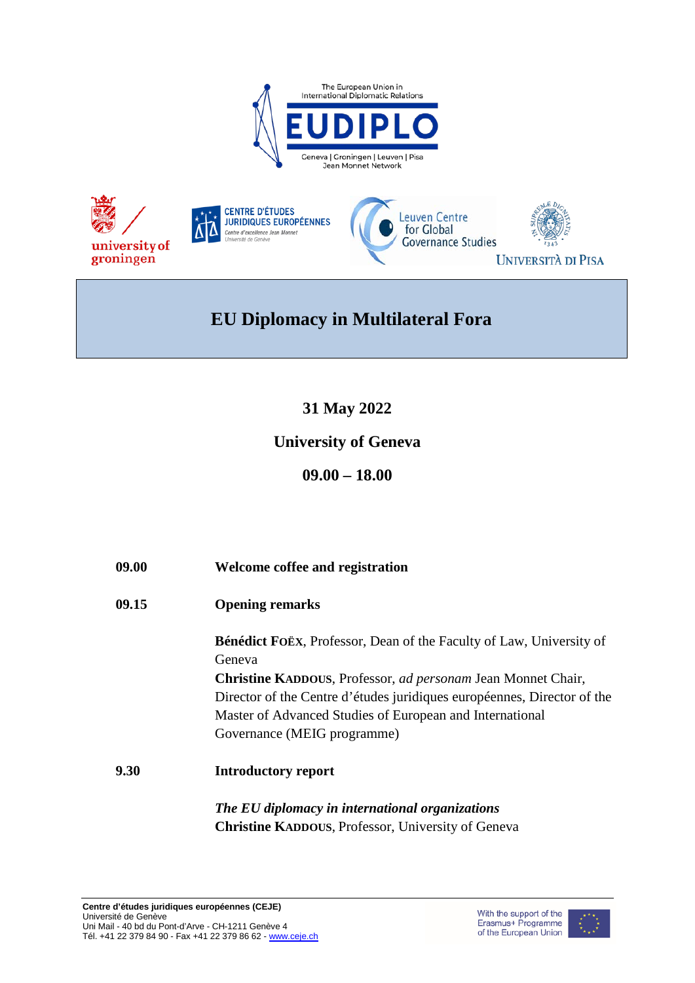



# **EU Diplomacy in Multilateral Fora**

# **31 May 2022**

# **University of Geneva**

**09.00 – 18.00**

| 09.00 | Welcome coffee and registration                                                      |
|-------|--------------------------------------------------------------------------------------|
| 09.15 | <b>Opening remarks</b>                                                               |
|       | <b>Bénédict FOËX, Professor, Dean of the Faculty of Law, University of</b><br>Geneva |
|       | <b>Christine KADDOUS, Professor, ad personam Jean Monnet Chair,</b>                  |
|       | Director of the Centre d'études juridiques européennes, Director of the              |
|       | Master of Advanced Studies of European and International                             |
|       | Governance (MEIG programme)                                                          |
| 9.30  | <b>Introductory report</b>                                                           |
|       | The EU diplomacy in international organizations                                      |
|       | <b>Christine KADDOUS, Professor, University of Geneva</b>                            |

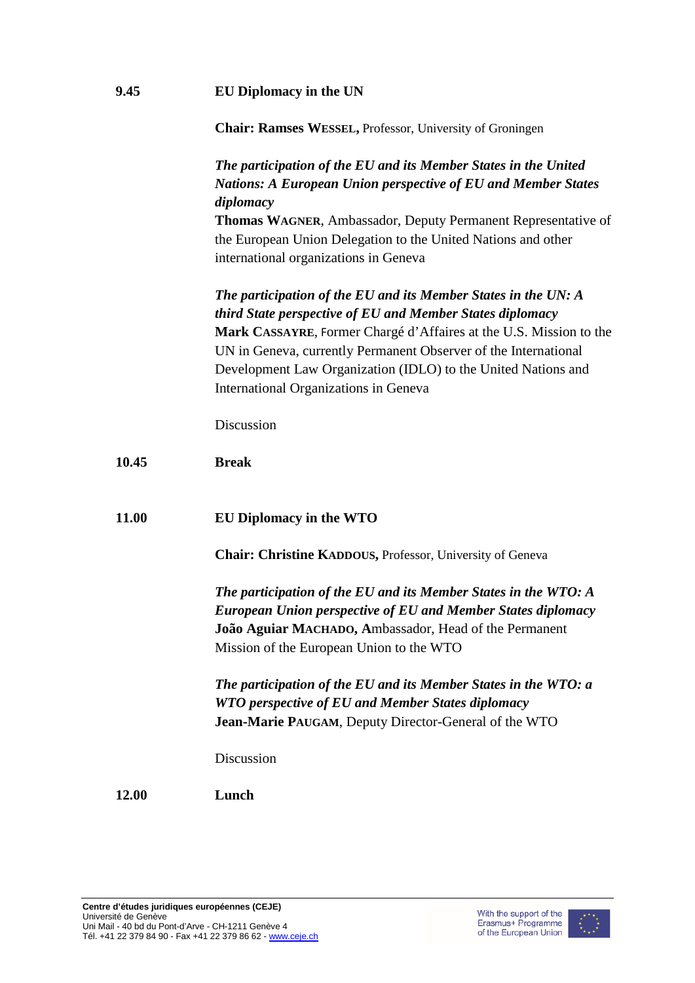### **9.45 EU Diplomacy in the UN**

**Chair: Ramses WESSEL,** Professor, University of Groningen

# *The participation of the EU and its Member States in the United Nations: A European Union perspective of EU and Member States diplomacy*

**Thomas WAGNER**, Ambassador, Deputy Permanent Representative of the European Union Delegation to the United Nations and other international organizations in Geneva

*The participation of the EU and its Member States in the UN: A third State perspective of EU and Member States diplomacy* **Mark CASSAYRE**, Former Chargé d'Affaires at the U.S. Mission to the UN in Geneva, currently Permanent Observer of the International Development Law Organization (IDLO) to the United Nations and International Organizations in Geneva

Discussion

| <b>Break</b> |
|--------------|
|              |

#### **11.00 EU Diplomacy in the WTO**

**Chair: Christine KADDOUS,** Professor, University of Geneva

*The participation of the EU and its Member States in the WTO: A European Union perspective of EU and Member States diplomacy* **João Aguiar MACHADO, A**mbassador, Head of the Permanent Mission of the European Union to the WTO

*The participation of the EU and its Member States in the WTO: a WTO perspective of EU and Member States diplomacy* **Jean-Marie PAUGAM**, Deputy Director-General of the WTO

Discussion

**12.00 Lunch**

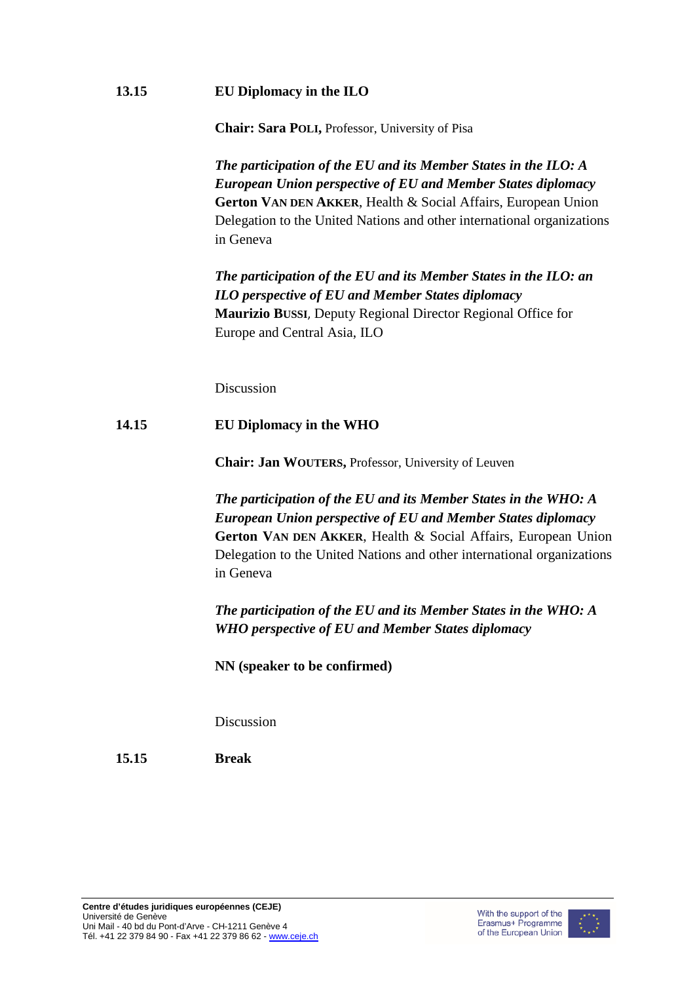# **13.15 EU Diplomacy in the ILO**

**Chair: Sara POLI,** Professor, University of Pisa

*The participation of the EU and its Member States in the ILO: A European Union perspective of EU and Member States diplomacy* **Gerton VAN DEN AKKER**, Health & Social Affairs, European Union Delegation to the United Nations and other international organizations in Geneva

*The participation of the EU and its Member States in the ILO: an ILO perspective of EU and Member States diplomacy* **Maurizio BUSSI**, Deputy Regional Director Regional Office for Europe and Central Asia, ILO

Discussion

# **14.15 EU Diplomacy in the WHO**

**Chair: Jan WOUTERS,** Professor, University of Leuven

*The participation of the EU and its Member States in the WHO: A European Union perspective of EU and Member States diplomacy* **Gerton VAN DEN AKKER**, Health & Social Affairs, European Union Delegation to the United Nations and other international organizations in Geneva

*The participation of the EU and its Member States in the WHO: A WHO perspective of EU and Member States diplomacy*

**NN (speaker to be confirmed)**

Discussion

**15.15 Break**